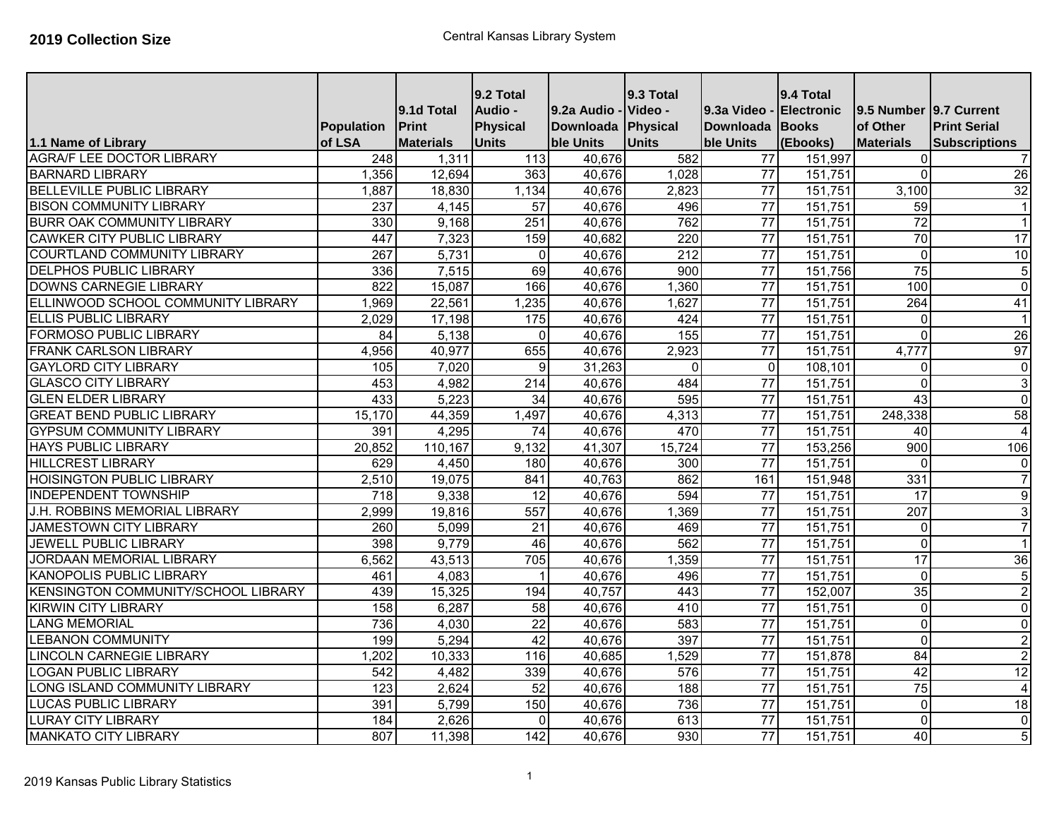| 1.1 Name of Library                        | <b>Population</b><br>of LSA | 9.1d Total<br>Print<br><b>Materials</b> | 9.2 Total<br>Audio -<br><b>Physical</b><br><b>Units</b> | 9.2a Audio - Video -<br>Downloada<br>ble Units | 9.3 Total<br>Physical<br><b>Units</b> | 9.3a Video -<br>Downloada Books<br>ble Units | 9.4 Total<br>Electronic<br>(Ebooks) | l9.5 Number I9.7 Current<br>of Other<br><b>Materials</b> | <b>Print Serial</b><br><b>Subscriptions</b> |
|--------------------------------------------|-----------------------------|-----------------------------------------|---------------------------------------------------------|------------------------------------------------|---------------------------------------|----------------------------------------------|-------------------------------------|----------------------------------------------------------|---------------------------------------------|
| <b>AGRA/F LEE DOCTOR LIBRARY</b>           | 248                         | 1,311                                   | 113                                                     | 40,676                                         | 582                                   | 77                                           | 151,997                             | $\Omega$                                                 | 7                                           |
| <b>BARNARD LIBRARY</b>                     | 1,356                       | 12,694                                  | 363                                                     | 40,676                                         | 1,028                                 | $\overline{77}$                              | 151,751                             | $\Omega$                                                 | 26                                          |
| <b>BELLEVILLE PUBLIC LIBRARY</b>           | 1,887                       | 18,830                                  | 1,134                                                   | 40,676                                         | 2,823                                 | 77                                           | 151,751                             | 3,100                                                    | 32                                          |
| <b>BISON COMMUNITY LIBRARY</b>             | 237                         | 4,145                                   | $\overline{57}$                                         | 40,676                                         | 496                                   | $\overline{77}$                              | 151,751                             | $\overline{59}$                                          | $\overline{1}$                              |
| <b>BURR OAK COMMUNITY LIBRARY</b>          | 330                         | 9,168                                   | 251                                                     | 40,676                                         | 762                                   | $\overline{77}$                              | 151,751                             | $\overline{72}$                                          | $\mathbf{1}$                                |
| <b>CAWKER CITY PUBLIC LIBRARY</b>          | 447                         | 7,323                                   | 159                                                     | 40,682                                         | $\overline{220}$                      | $\overline{77}$                              | 151,751                             | $\overline{70}$                                          | $\overline{17}$                             |
| <b>COURTLAND COMMUNITY LIBRARY</b>         | 267                         | 5,731                                   | $\mathbf 0$                                             | 40,676                                         | $\overline{212}$                      | $\overline{77}$                              | 151,751                             | $\mathbf 0$                                              | 10                                          |
| <b>DELPHOS PUBLIC LIBRARY</b>              | 336                         | 7,515                                   | 69                                                      | 40,676                                         | 900                                   | $\overline{77}$                              | 151,756                             | 75                                                       | $\overline{5}$                              |
| <b>DOWNS CARNEGIE LIBRARY</b>              | 822                         | 15,087                                  | 166                                                     | 40,676                                         | 1,360                                 | $\overline{77}$                              | 151,751                             | 100                                                      | $\mathbf 0$                                 |
| ELLINWOOD SCHOOL COMMUNITY LIBRARY         | 1,969                       | 22,561                                  | 1,235                                                   | 40,676                                         | 1,627                                 | $\overline{77}$                              | 151,751                             | 264                                                      | 41                                          |
| <b>ELLIS PUBLIC LIBRARY</b>                | 2,029                       | 17,198                                  | 175                                                     | 40,676                                         | 424                                   | $\overline{77}$                              | 151,751                             | $\Omega$                                                 | $\overline{1}$                              |
| FORMOSO PUBLIC LIBRARY                     | 84                          | 5,138                                   | 0                                                       | 40,676                                         | 155                                   | $\overline{77}$                              | 151,751                             | $\mathbf{0}$                                             | $\overline{26}$                             |
| <b>FRANK CARLSON LIBRARY</b>               | 4,956                       | 40,977                                  | 655                                                     | 40,676                                         | 2,923                                 | $\overline{77}$                              | 151,751                             | 4,777                                                    | 97                                          |
| <b>GAYLORD CITY LIBRARY</b>                | 105                         | 7,020                                   | 9                                                       | 31,263                                         | $\Omega$                              | $\mathbf 0$                                  | 108,101                             | $\Omega$                                                 | $\boldsymbol{0}$                            |
| <b>GLASCO CITY LIBRARY</b>                 | 453                         | 4,982                                   | 214                                                     | 40,676                                         | 484                                   | $\overline{77}$                              | 151,751                             | $\Omega$                                                 | $\overline{3}$                              |
| <b>GLEN ELDER LIBRARY</b>                  | 433                         | 5,223                                   | $\overline{34}$                                         | 40,676                                         | 595                                   | $\overline{77}$                              | 151,751                             | $\overline{43}$                                          | $\overline{0}$                              |
| <b>GREAT BEND PUBLIC LIBRARY</b>           | 15,170                      | 44,359                                  | 1,497                                                   | 40,676                                         | 4,313                                 | $\overline{77}$                              | 151,751                             | 248,338                                                  | 58                                          |
| <b>GYPSUM COMMUNITY LIBRARY</b>            | 391                         | 4,295                                   | $\overline{74}$                                         | 40,676                                         | 470                                   | $\overline{77}$                              | 151,751                             | 40                                                       | $\overline{\mathbf{4}}$                     |
| <b>HAYS PUBLIC LIBRARY</b>                 | 20,852                      | 110,167                                 | 9,132                                                   | 41,307                                         | 15,724                                | $\overline{77}$                              | 153,256                             | $\overline{900}$                                         | 106                                         |
| <b>HILLCREST LIBRARY</b>                   | 629                         | 4,450                                   | 180                                                     | 40,676                                         | 300                                   | $\overline{77}$                              | 151,751                             | $\mathbf{0}$                                             | $\mathbf 0$                                 |
| <b>HOISINGTON PUBLIC LIBRARY</b>           | 2,510                       | 19,075                                  | 841                                                     | 40,763                                         | 862                                   | 161                                          | 151,948                             | 331                                                      | $\overline{7}$                              |
| <b>INDEPENDENT TOWNSHIP</b>                | 718                         | 9,338                                   | $\overline{12}$                                         | 40,676                                         | 594                                   | $\overline{77}$                              | 151,751                             | 17                                                       | $\overline{9}$                              |
| J.H. ROBBINS MEMORIAL LIBRARY              | 2,999                       | 19,816                                  | 557                                                     | 40,676                                         | 1,369                                 | $\overline{77}$                              | 151,751                             | 207                                                      | $\overline{3}$                              |
| <b>JAMESTOWN CITY LIBRARY</b>              | 260                         | 5,099                                   | $\overline{21}$                                         | 40,676                                         | 469                                   | $\overline{77}$                              | 151,751                             | $\Omega$                                                 | $\overline{7}$                              |
| JEWELL PUBLIC LIBRARY                      | 398                         | 9,779                                   | 46                                                      | 40,676                                         | 562                                   | $\overline{77}$                              | 151,751                             | $\mathbf{0}$                                             | $\mathbf{1}$                                |
| JORDAAN MEMORIAL LIBRARY                   | 6,562                       | 43,513                                  | 705                                                     | 40,676                                         | 1,359                                 | $\overline{77}$                              | 151,751                             | $\overline{17}$                                          | 36                                          |
| <b>KANOPOLIS PUBLIC LIBRARY</b>            | 461                         | 4,083                                   | $\mathbf{1}$                                            | 40,676                                         | 496                                   | $\overline{77}$                              | 151,751                             | $\overline{0}$                                           | 5                                           |
| <b>KENSINGTON COMMUNITY/SCHOOL LIBRARY</b> | 439                         | 15,325                                  | 194                                                     | 40,757                                         | 443                                   | $\overline{77}$                              | 152,007                             | 35                                                       | $\overline{c}$                              |
| <b>KIRWIN CITY LIBRARY</b>                 | 158                         | 6,287                                   | 58                                                      | 40,676                                         | 410                                   | 77                                           | 151,751                             | $\overline{0}$                                           | $\mathbf 0$                                 |
| <b>LANG MEMORIAL</b>                       | 736                         | 4,030                                   | $\overline{22}$                                         | 40,676                                         | 583                                   | $\overline{77}$                              | 151,751                             | $\overline{0}$                                           | $\mathbf 0$                                 |
| <b>LEBANON COMMUNITY</b>                   | 199                         | 5,294                                   | 42                                                      | 40,676                                         | 397                                   | $\overline{77}$                              | 151,751                             | $\Omega$                                                 | $\overline{c}$                              |
| <b>LINCOLN CARNEGIE LIBRARY</b>            | 1,202                       | 10,333                                  | 116                                                     | 40,685                                         | 1,529                                 | $\overline{77}$                              | 151,878                             | 84                                                       | $\overline{c}$                              |
| <b>LOGAN PUBLIC LIBRARY</b>                | 542                         | 4,482                                   | 339                                                     | 40,676                                         | 576                                   | 77                                           | 151,751                             | 42                                                       | 12                                          |
| ONG ISLAND COMMUNITY LIBRARY               | 123                         | 2,624                                   | 52                                                      | 40,676                                         | 188                                   | $\overline{77}$                              | 151,751                             | $\overline{75}$                                          | $\overline{4}$                              |
| <b>LUCAS PUBLIC LIBRARY</b>                | 391                         | 5,799                                   | 150                                                     | 40,676                                         | 736                                   | 77                                           | 151,751                             | $\mathbf 0$                                              | $\overline{18}$                             |
| LURAY CITY LIBRARY                         | 184                         | 2,626                                   | 0                                                       | 40,676                                         | 613                                   | $\overline{77}$                              | 151,751                             | $\mathbf{0}$                                             | $\pmb{0}$                                   |
| <b>MANKATO CITY LIBRARY</b>                | 807                         | 11,398                                  | 142                                                     | 40,676                                         | 930                                   | $\overline{77}$                              | 151,751                             | 40                                                       | 5                                           |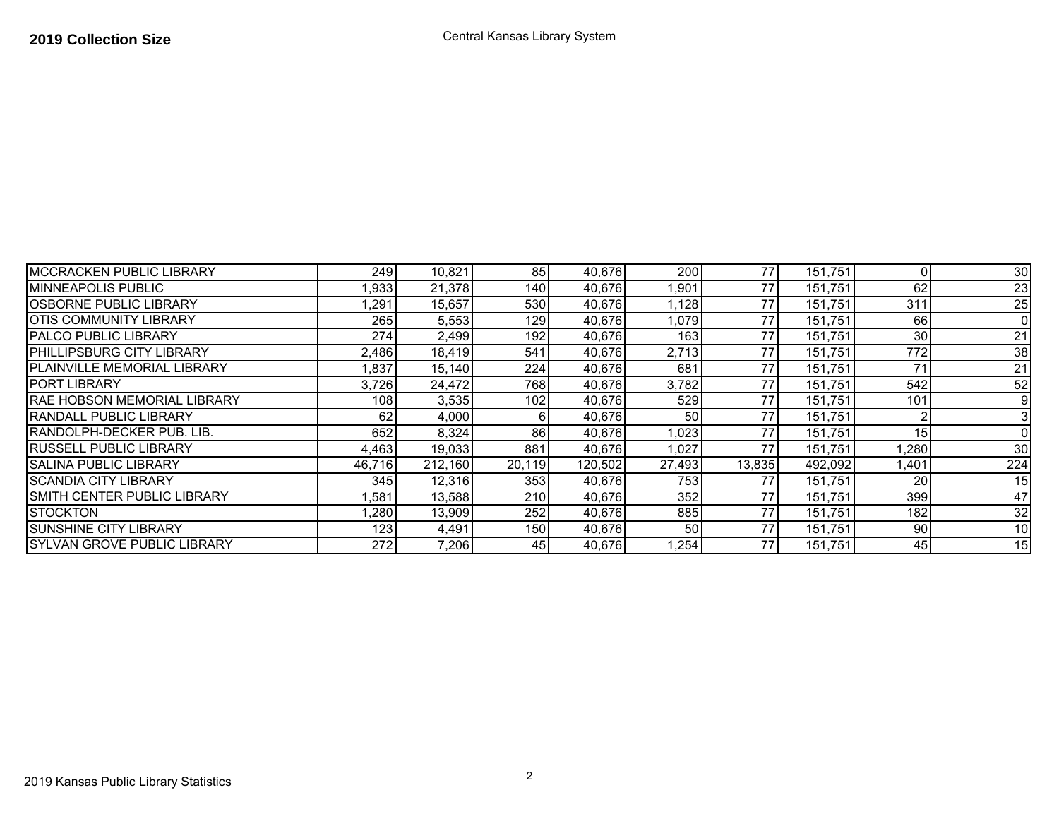| <b>MCCRACKEN PUBLIC LIBRARY</b>     | 249I   | 10,821  | 85     | 40,676  | 200    | 77     | 151,751 |      | 30  |
|-------------------------------------|--------|---------|--------|---------|--------|--------|---------|------|-----|
| IMINNEAPOLIS PUBLIC                 | ,933   | 21,378  | 140    | 40,676  | 1,901  | 77     | 151,751 | 62   | 23  |
| IOSBORNE PUBLIC LIBRARY             | ,291   | 15,657  | 530    | 40,676  | 1,128  | 77     | 151,751 | 311  | 25  |
| IOTIS COMMUNITY LIBRARY             | 265    | 5,553   | 129    | 40,676  | 1,079  | 77     | 151,751 | 66   |     |
| <b>PALCO PUBLIC LIBRARY</b>         | 274    | 2,499   | 192    | 40,676  | 163    | 77     | 151,751 | 30   | 21  |
| <b>PHILLIPSBURG CITY LIBRARY</b>    | 2,486  | 18,419  | 541    | 40,676  | 2,713  | 77     | 151,751 | 772  | 38  |
| IPLAINVILLE MEMORIAL LIBRARY        | ,837   | 15,140  | 224    | 40,676  | 681    | 77     | 151,751 |      | 21  |
| <b>IPORT LIBRARY</b>                | 3,726  | 24,472  | 768    | 40,676  | 3,782  | 77     | 151,751 | 542  | 52  |
| <b>RAE HOBSON MEMORIAL LIBRARY</b>  | 108    | 3,535   | 102    | 40,676  | 529    | 77     | 151,751 | 101  |     |
| <b>RANDALL PUBLIC LIBRARY</b>       | 62     | 4,000   | 6      | 40,676  | 50     | 77     | 151,751 |      |     |
| <b>RANDOLPH-DECKER PUB. LIB.</b>    | 652    | 8,324   | 86     | 40,676  | 1,023  | 77     | 151,751 | 15   |     |
| <b>RUSSELL PUBLIC LIBRARY</b>       | 4,463  | 19,033  | 881    | 40,676  | 1,027  | 77     | 151,751 | ,280 | 30  |
| <b>SALINA PUBLIC LIBRARY</b>        | 46,716 | 212,160 | 20,119 | 120,502 | 27,493 | 13,835 | 492,092 | ,401 | 224 |
| ISCANDIA CITY LIBRARY               | 345    | 12,316  | 353    | 40,676  | 753    | 77     | 151,751 | 20   | 15  |
| <b>SMITH CENTER PUBLIC LIBRARY</b>  | ,581   | 13,588  | 210    | 40,676  | 352    | 77     | 151,751 | 399  | 47  |
| <b>STOCKTON</b>                     | ,280   | 13,909  | 252    | 40,676  | 885    | 77     | 151,751 | 182  | 32  |
| <b>SUNSHINE CITY LIBRARY</b>        | 123    | 4,491   | 150    | 40,676  | 50     | 77     | 151.751 | 90   | 10  |
| <b>ISYLVAN GROVE PUBLIC LIBRARY</b> | 272    | 7,206   | 45     | 40,676  | 1,254  | 77     | 151,751 | 45   | 15  |

2

## **2019 Collection Size** Central Kansas Library System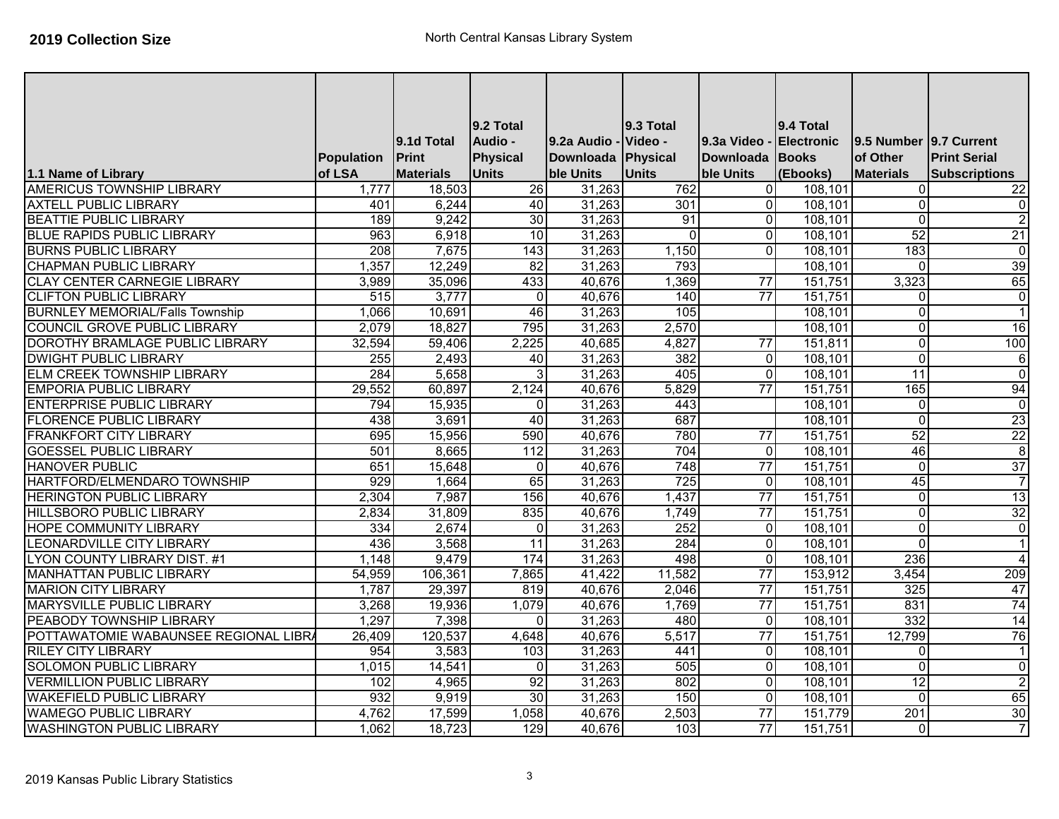|                                        |                  |                  | 9.2 Total       |                    | 9.3 Total       |                 | 9.4 Total         |                        |                         |
|----------------------------------------|------------------|------------------|-----------------|--------------------|-----------------|-----------------|-------------------|------------------------|-------------------------|
|                                        |                  | 9.1d Total       | Audio -         | 9.2a Audio -       | Video -         | 9.3a Video      | <b>Electronic</b> | 9.5 Number 9.7 Current |                         |
|                                        | Population       | <b>Print</b>     | Physical        | Downloada Physical |                 | Downloada Books |                   | of Other               | <b>Print Serial</b>     |
| 1.1 Name of Library                    | of LSA           | <b>Materials</b> | <b>Units</b>    | ble Units          | <b>Units</b>    | ble Units       | (Ebooks)          | <b>Materials</b>       | <b>Subscriptions</b>    |
| <b>AMERICUS TOWNSHIP LIBRARY</b>       | 1,777            | 18,503           | 26              | 31,263             | 762             | $\overline{0}$  | 108,101           | $\Omega$               | 22                      |
| <b>AXTELL PUBLIC LIBRARY</b>           | 401              | 6,244            | 40              | 31,263             | 301             | $\overline{0}$  | 108,101           | $\mathbf{0}$           | $\overline{\mathbf{e}}$ |
| <b>BEATTIE PUBLIC LIBRARY</b>          | 189              | 9,242            | $\overline{30}$ | 31,263             | $\overline{91}$ | $\overline{0}$  | 108,101           | $\Omega$               | $\overline{2}$          |
| <b>BLUE RAPIDS PUBLIC LIBRARY</b>      | 963              | 6,918            | 10              | 31,263             | $\mathbf{0}$    | $\Omega$        | 108,101           | 52                     | 21                      |
| <b>BURNS PUBLIC LIBRARY</b>            | 208              | 7,675            | 143             | 31,263             | 1,150           | $\Omega$        | 108,101           | 183                    | $\overline{\mathbf{0}}$ |
| <b>CHAPMAN PUBLIC LIBRARY</b>          | 1,357            | 12,249           | 82              | 31,263             | 793             |                 | 108,101           | $\Omega$               | 39                      |
| <b>CLAY CENTER CARNEGIE LIBRARY</b>    | 3,989            | 35,096           | 433             | 40,676             | 1,369           | 77              | 151,751           | 3,323                  | 65                      |
| <b>CLIFTON PUBLIC LIBRARY</b>          | 515              | 3,777            | $\Omega$        | 40,676             | 140             | 77              | 151,751           | $\Omega$               | $\overline{\mathbf{0}}$ |
| <b>BURNLEY MEMORIAL/Falls Township</b> | 1,066            | 10,691           | 46              | 31,263             | 105             |                 | 108,101           | $\mathbf{0}$           | $\overline{1}$          |
| <b>COUNCIL GROVE PUBLIC LIBRARY</b>    | 2,079            | 18,827           | 795             | 31,263             | 2,570           |                 | 108,101           | $\Omega$               | 16                      |
| DOROTHY BRAMLAGE PUBLIC LIBRARY        | 32,594           | 59,406           | 2,225           | 40,685             | 4,827           | $\overline{77}$ | 151,811           | $\Omega$               | 100                     |
| <b>DWIGHT PUBLIC LIBRARY</b>           | $\overline{255}$ | 2,493            | 40              | 31,263             | 382             | $\overline{0}$  | 108,101           | $\Omega$               | $\overline{6}$          |
| ELM CREEK TOWNSHIP LIBRARY             | 284              | 5,658            | 3               | 31,263             | 405             | $\overline{0}$  | 108,101           | $\overline{11}$        | $\overline{0}$          |
| <b>EMPORIA PUBLIC LIBRARY</b>          | 29,552           | 60,897           | 2,124           | 40,676             | 5,829           | $\overline{77}$ | 151,751           | 165                    | 94                      |
| <b>ENTERPRISE PUBLIC LIBRARY</b>       | 794              | 15,935           | 0               | 31,263             | 443             |                 | 108,101           | $\Omega$               | $\overline{\mathsf{c}}$ |
| <b>FLORENCE PUBLIC LIBRARY</b>         | 438              | 3,691            | 40              | 31,263             | 687             |                 | 108,101           | $\Omega$               | 23                      |
| <b>FRANKFORT CITY LIBRARY</b>          | 695              | 15,956           | 590             | 40,676             | 780             | 77              | 151,751           | 52                     | $\overline{22}$         |
| <b>GOESSEL PUBLIC LIBRARY</b>          | 501              | 8,665            | 112             | 31,263             | 704             | $\overline{0}$  | 108,101           | 46                     | $\overline{8}$          |
| <b>HANOVER PUBLIC</b>                  | 651              | 15,648           | $\Omega$        | 40,676             | 748             | $\overline{77}$ | 151,751           | $\Omega$               | 37                      |
| HARTFORD/ELMENDARO TOWNSHIP            | 929              | 1,664            | 65              | 31,263             | 725             | $\overline{0}$  | 108,101           | 45                     | $\overline{7}$          |
| <b>HERINGTON PUBLIC LIBRARY</b>        | 2,304            | 7,987            | 156             | 40,676             | 1,437           | $\overline{77}$ | 151,751           | $\Omega$               | 13                      |
| <b>HILLSBORO PUBLIC LIBRARY</b>        | 2,834            | 31,809           | 835             | 40,676             | 1,749           | $\overline{77}$ | 151,751           | $\Omega$               | 32                      |
| <b>HOPE COMMUNITY LIBRARY</b>          | 334              | 2,674            | 0               | 31,263             | 252             | $\overline{0}$  | 108,101           | $\Omega$               | $\overline{\mathsf{c}}$ |
| LEONARDVILLE CITY LIBRARY              | 436              | 3,568            | $\overline{11}$ | 31,263             | 284             | $\overline{0}$  | 108,101           | $\mathbf{0}$           | $\vert$ 1               |
| <b>LYON COUNTY LIBRARY DIST. #1</b>    | 1,148            | 9,479            | 174             | 31,263             | 498             | $\overline{0}$  | 108,101           | 236                    | $\vert$                 |
| <b>MANHATTAN PUBLIC LIBRARY</b>        | 54,959           | 106,361          | 7,865           | 41,422             | 11,582          | $\overline{77}$ | 153,912           | 3,454                  | 209                     |
| <b>MARION CITY LIBRARY</b>             | 1,787            | 29,397           | 819             | 40,676             | 2,046           | 77              | 151,751           | 325                    | 47                      |
| <b>MARYSVILLE PUBLIC LIBRARY</b>       | 3,268            | 19,936           | 1,079           | 40,676             | 1,769           | 77              | 151,751           | 831                    | 74                      |
| PEABODY TOWNSHIP LIBRARY               | 1,297            | 7,398            | $\Omega$        | 31,263             | 480             | $\overline{0}$  | 108,101           | 332                    | 14                      |
| POTTAWATOMIE WABAUNSEE REGIONAL LIBRA  | 26,409           | 120,537          | 4,648           | 40,676             | 5,517           | $\overline{77}$ | 151,751           | 12,799                 | 76                      |
| <b>RILEY CITY LIBRARY</b>              | 954              | 3,583            | 103             | 31,263             | 441             | $\overline{0}$  | 108,101           | $\Omega$               | $\overline{1}$          |
| <b>SOLOMON PUBLIC LIBRARY</b>          | 1,015            | 14,541           | $\Omega$        | 31,263             | 505             | $\Omega$        | 108,101           | $\Omega$               | $\overline{0}$          |
| <b>VERMILLION PUBLIC LIBRARY</b>       | 102              | 4,965            | 92              | 31,263             | 802             | $\overline{0}$  | 108,101           | $\overline{12}$        | $\overline{2}$          |
| <b>WAKEFIELD PUBLIC LIBRARY</b>        | 932              | 9,919            | $\overline{30}$ | 31,263             | 150             | $\overline{0}$  | 108,101           | $\Omega$               | 65                      |
| <b>WAMEGO PUBLIC LIBRARY</b>           | 4,762            | 17,599           | 1,058           | 40,676             | 2,503           | $\overline{77}$ | 151,779           | 201                    | 30                      |
| <b>WASHINGTON PUBLIC LIBRARY</b>       | 1,062            | 18,723           | 129             | 40,676             | 103             | $\overline{77}$ | 151,751           | 0                      | $\overline{7}$          |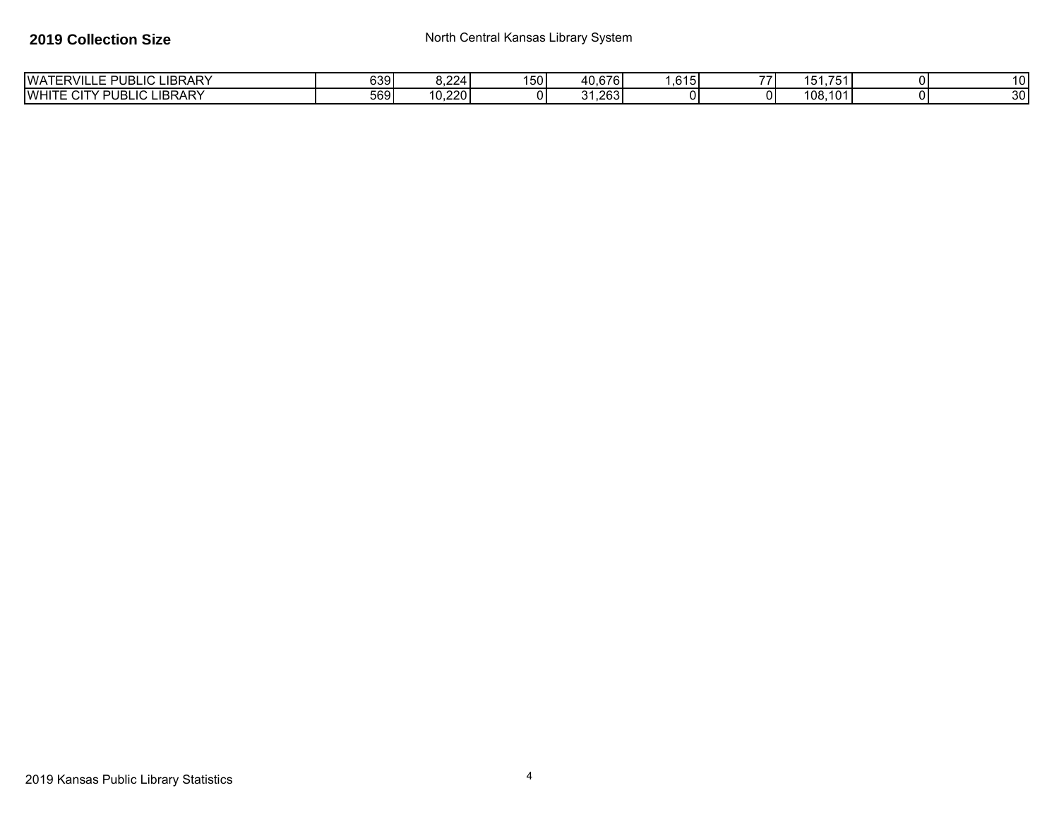| LIBRARY<br><b>WATERVILLE</b><br>$\sim$<br>$\sim$<br>- PI<br>-10 L<br>ັບ   | 6391 | .224       | 1501 | 40.676       | $\sim$<br>.6151 | $\rightarrow$ $\rightarrow$ $\rightarrow$<br>$\overline{\phantom{a}}$<br>- 151<br>701 |            |
|---------------------------------------------------------------------------|------|------------|------|--------------|-----------------|---------------------------------------------------------------------------------------|------------|
| <b>LIC LIBRARY</b><br><b>WHITI</b><br><b>PUBL</b><br>$\sim$ . $\sim$<br>◡ | 569  | ,220<br>10 | o    | . 263 .<br>. | ΩI              | 108.<br>.101                                                                          | ົາດ.<br>JU |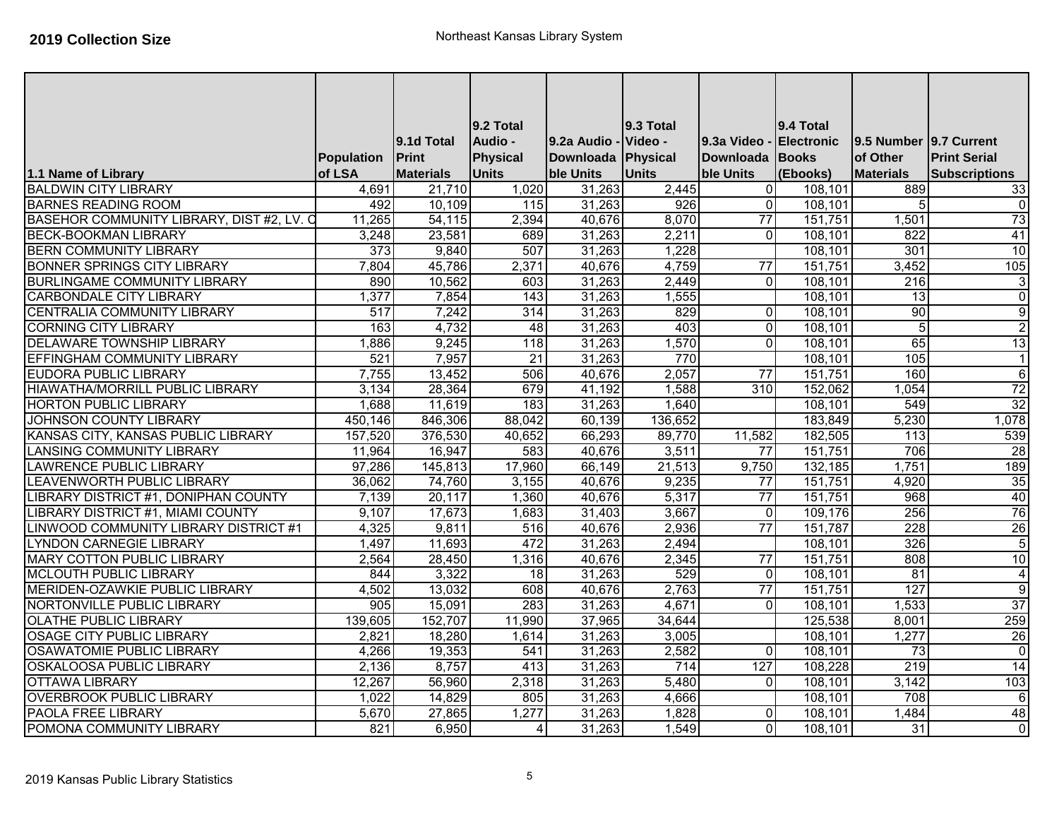|                                           |                   |                  | 9.2 Total       |                    | 9.3 Total    |                  | 9.4 Total         |                        |                         |
|-------------------------------------------|-------------------|------------------|-----------------|--------------------|--------------|------------------|-------------------|------------------------|-------------------------|
|                                           |                   | 9.1d Total       | Audio -         | 9.2a Audio -       | Video -      | 9.3a Video       | <b>Electronic</b> | 9.5 Number 9.7 Current |                         |
|                                           | <b>Population</b> | Print            | <b>Physical</b> | Downloada Physical |              | Downloada Books  |                   | of Other               | <b>Print Serial</b>     |
| 1.1 Name of Library                       | of LSA            | <b>Materials</b> | <b>Units</b>    | ble Units          | <b>Units</b> | ble Units        | (Ebooks)          | <b>Materials</b>       | <b>Subscriptions</b>    |
| <b>BALDWIN CITY LIBRARY</b>               | 4,691             | 21,710           | 1,020           | 31,263             | 2,445        | $\overline{0}$   | 108,101           | 889                    | 33                      |
| <b>BARNES READING ROOM</b>                | 492               | 10,109           | 115             | 31,263             | 926          | $\overline{0}$   | 108,101           | 5                      | $\overline{0}$          |
| BASEHOR COMMUNITY LIBRARY, DIST #2, LV. O | 11,265            | 54,115           | 2,394           | 40,676             | 8,070        | $\overline{77}$  | 151,751           | 1,501                  | 73                      |
| <b>BECK-BOOKMAN LIBRARY</b>               | 3,248             | 23,581           | 689             | 31,263             | 2,211        | $\Omega$         | 108,101           | 822                    | 41                      |
| <b>BERN COMMUNITY LIBRARY</b>             | 373               | 9,840            | 507             | 31,263             | 1,228        |                  | 108,101           | 301                    | 10                      |
| <b>BONNER SPRINGS CITY LIBRARY</b>        | 7,804             | 45,786           | 2,371           | 40,676             | 4,759        | $\overline{77}$  | 151,751           | 3,452                  | 105                     |
| <b>BURLINGAME COMMUNITY LIBRARY</b>       | 890               | 10,562           | 603             | 31,263             | 2,449        | $\overline{0}$   | 108,101           | 216                    | $\mathbf{3}$            |
| <b>CARBONDALE CITY LIBRARY</b>            | 1,377             | 7,854            | 143             | 31,263             | 1,555        |                  | 108,101           | $\overline{13}$        | $\overline{0}$          |
| CENTRALIA COMMUNITY LIBRARY               | 517               | 7,242            | 314             | 31,263             | 829          | $\Omega$         | 108,101           | 90                     | G)                      |
| <b>CORNING CITY LIBRARY</b>               | 163               | 4,732            | $\overline{48}$ | 31,263             | 403          | $\Omega$         | 108,101           | 5                      | $\overline{2}$          |
| <b>DELAWARE TOWNSHIP LIBRARY</b>          | 1,886             | 9,245            | 118             | 31,263             | 1,570        | $\Omega$         | 108,101           | 65                     | 13                      |
| EFFINGHAM COMMUNITY LIBRARY               | 521               | 7,957            | $\overline{21}$ | 31,263             | 770          |                  | 108,101           | 105                    | $\mathbf{1}$            |
| <b>EUDORA PUBLIC LIBRARY</b>              | 7,755             | 13,452           | 506             | 40,676             | 2,057        | $\overline{77}$  | 151,751           | 160                    | $\sigma$                |
| <b>HIAWATHA/MORRILL PUBLIC LIBRARY</b>    | 3,134             | 28,364           | 679             | 41,192             | 1,588        | $\overline{310}$ | 152,062           | 1,054                  | 72                      |
| <b>HORTON PUBLIC LIBRARY</b>              | 1,688             | 11,619           | 183             | 31,263             | 1,640        |                  | 108,101           | 549                    | 32                      |
| <b>JOHNSON COUNTY LIBRARY</b>             | 450,146           | 846,306          | 88,042          | 60,139             | 136,652      |                  | 183,849           | 5,230                  | 1,078                   |
| KANSAS CITY, KANSAS PUBLIC LIBRARY        | 157,520           | 376,530          | 40,652          | 66,293             | 89,770       | 11,582           | 182,505           | 113                    | 539                     |
| <b>LANSING COMMUNITY LIBRARY</b>          | 11,964            | 16,947           | 583             | 40,676             | 3,511        | 77               | 151,751           | 706                    | 28                      |
| <b>LAWRENCE PUBLIC LIBRARY</b>            | 97,286            | 145,813          | 17,960          | 66,149             | 21,513       | 9,750            | 132,185           | 1,751                  | 189                     |
| LEAVENWORTH PUBLIC LIBRARY                | 36,062            | 74,760           | 3,155           | 40,676             | 9,235        | 77               | 151,751           | 4,920                  | 35                      |
| LIBRARY DISTRICT #1, DONIPHAN COUNTY      | 7,139             | 20,117           | 1,360           | 40,676             | 5,317        | $\overline{77}$  | 151,751           | 968                    | 40                      |
| <b>LIBRARY DISTRICT #1, MIAMI COUNTY</b>  | 9,107             | 17,673           | 1,683           | 31,403             | 3,667        | $\Omega$         | 109,176           | 256                    | 76                      |
| LINWOOD COMMUNITY LIBRARY DISTRICT #1     | 4,325             | 9,811            | 516             | 40,676             | 2,936        | $\overline{77}$  | 151,787           | 228                    | 26                      |
| <b>LYNDON CARNEGIE LIBRARY</b>            | 1,497             | 11,693           | 472             | 31,263             | 2,494        |                  | 108,101           | 326                    | 5                       |
| <b>MARY COTTON PUBLIC LIBRARY</b>         | 2,564             | 28,450           | 1,316           | 40,676             | 2,345        | $\overline{77}$  | 151,751           | 808                    | $\overline{10}$         |
| <b>MCLOUTH PUBLIC LIBRARY</b>             | 844               | 3,322            | 18              | 31,263             | 529          | $\overline{0}$   | 108,101           | 81                     | $\overline{4}$          |
| MERIDEN-OZAWKIE PUBLIC LIBRARY            | 4,502             | 13,032           | 608             | 40,676             | 2,763        | $\overline{77}$  | 151,751           | 127                    | g                       |
| NORTONVILLE PUBLIC LIBRARY                | 905               | 15,091           | 283             | 31,263             | 4,671        | $\Omega$         | 108,101           | 1,533                  | 37                      |
| <b>OLATHE PUBLIC LIBRARY</b>              | 139,605           | 152,707          | 11,990          | 37,965             | 34,644       |                  | 125,538           | 8,001                  | 259                     |
| <b>OSAGE CITY PUBLIC LIBRARY</b>          | 2,821             | 18,280           | 1,614           | 31,263             | 3,005        |                  | 108,101           | 1,277                  | 26                      |
| <b>OSAWATOMIE PUBLIC LIBRARY</b>          | 4,266             | 19,353           | 541             | 31,263             | 2,582        | $\overline{0}$   | 108,101           | 73                     | $\overline{0}$          |
| <b>OSKALOOSA PUBLIC LIBRARY</b>           | 2,136             | 8,757            | 413             | 31,263             | 714          | 127              | 108,228           | 219                    | 14                      |
| <b>OTTAWA LIBRARY</b>                     | 12,267            | 56,960           | 2,318           | 31,263             | 5,480        | $\overline{0}$   | 108,101           | 3,142                  | 103                     |
| <b>OVERBROOK PUBLIC LIBRARY</b>           | 1,022             | 14,829           | 805             | 31,263             | 4,666        |                  | 108,101           | 708                    | 6                       |
| <b>PAOLA FREE LIBRARY</b>                 | 5,670             | 27,865           | 1,277           | 31,263             | 1,828        | $\Omega$         | 108,101           | 1,484                  | 48                      |
| POMONA COMMUNITY LIBRARY                  | 821               | 6,950            | $\overline{4}$  | 31,263             | 1,549        | $\overline{0}$   | 108,101           | $\overline{31}$        | $\overline{\mathsf{o}}$ |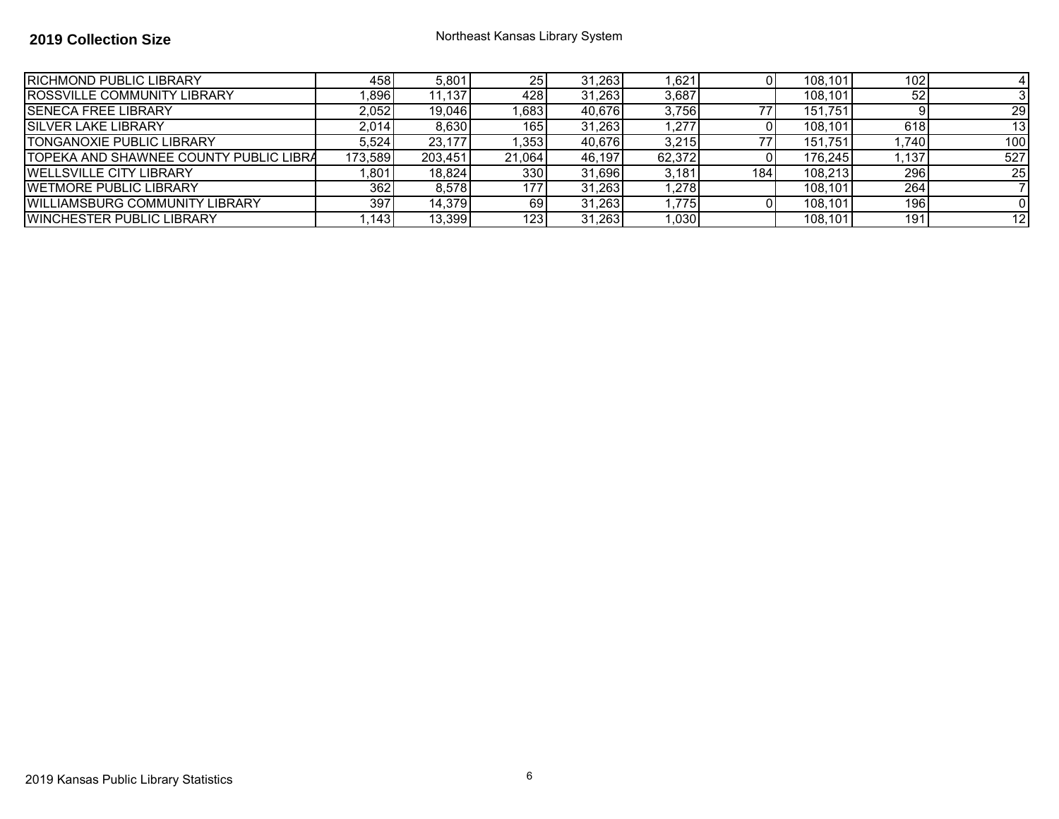| <b>IRICHMOND PUBLIC LIBRARY</b>               | 458     | 5,801   | 25I              | 31,263 | ,621   |     | 108,101 | 102  |     |
|-----------------------------------------------|---------|---------|------------------|--------|--------|-----|---------|------|-----|
| <b>ROSSVILLE COMMUNITY LIBRARY</b>            | ,896    | 11,137  | 4281             | 31,263 | 3,687  |     | 108.101 | 52   |     |
| <b>ISENECA FREE LIBRARY</b>                   | 2,052   | 19,046  | .683             | 40,676 | 3,756  | 77  | 151.751 |      | 29  |
| <b>ISILVER LAKE LIBRARY</b>                   | 2.014   | 8.630   | 165              | 31,263 | .277   |     | 108.101 | 618  | 13  |
| <b>TONGANOXIE PUBLIC LIBRARY</b>              | 5.524   | 23.177  | .353             | 40,676 | 3.215  | 77. | 151.751 | .740 | 100 |
| <b>TOPEKA AND SHAWNEE COUNTY PUBLIC LIBRA</b> | 173,589 | 203,451 | 21.064           | 46.197 | 62.372 |     | 176.245 | .137 | 527 |
| <b>IWELLSVILLE CITY LIBRARY</b>               | ,801    | 18,824  | 3301             | 31.696 | 3.181  | 184 | 108.213 | 296  | 25  |
| <b>IWETMORE PUBLIC LIBRARY</b>                | 362     | 8,578   | 177 <sup>1</sup> | 31,263 | ,278   |     | 108,101 | 264  |     |
| <b>WILLIAMSBURG COMMUNITY LIBRARY</b>         | 397     | 14.379  | 69I              | 31.263 | .775   |     | 108.101 | 196  |     |
| <b>WINCHESTER PUBLIC LIBRARY</b>              | .143    | 13,399  | 1231             | 31,263 | 1,030  |     | 108.101 | 191  | 12  |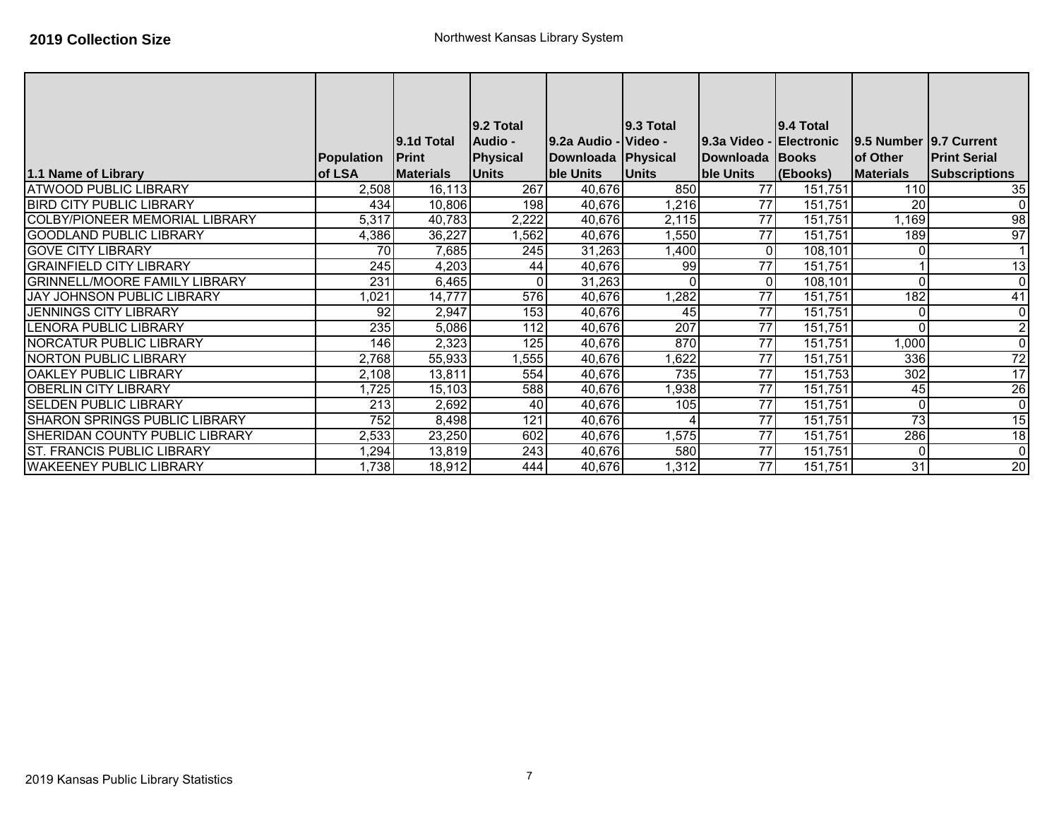|                                       |                  |                  | $ 9.2 \text{ Total} $ |                      | 9.3 Total    |                         | l9.4 Total |                        |                      |
|---------------------------------------|------------------|------------------|-----------------------|----------------------|--------------|-------------------------|------------|------------------------|----------------------|
|                                       |                  | 9.1d Total       | <b>Audio -</b>        | 9.2a Audio - Video - |              | 9.3a Video - Electronic |            | 9.5 Number 9.7 Current |                      |
|                                       | Population       | <b>Print</b>     | Physical              | Downloada   Physical |              | Downloada Books         |            | of Other               | <b>Print Serial</b>  |
| 1.1 Name of Library                   | of LSA           | <b>Materials</b> | <b>Units</b>          | ble Units            | <b>Units</b> | ble Units               | (Ebooks)   | <b>Materials</b>       | <b>Subscriptions</b> |
| <b>ATWOOD PUBLIC LIBRARY</b>          | 2,508            | 16,113           | 267                   | 40,676               | 850          | 77                      | 151,751    | 110                    | 35                   |
| <b>BIRD CITY PUBLIC LIBRARY</b>       | 434              | 10,806           | 198                   | 40,676               | 1,216        | 77                      | 151.751    | 20                     | $\overline{0}$       |
| <b>COLBY/PIONEER MEMORIAL LIBRARY</b> | 5,317            | 40,783           | 2,222                 | 40,676               | 2,115        | 77                      | 151,751    | 1,169                  | 98                   |
| <b>GOODLAND PUBLIC LIBRARY</b>        | 4,386            | 36,227           | ,562                  | 40,676               | 1,550        | 77                      | 151,751    | 189                    | 97                   |
| <b>GOVE CITY LIBRARY</b>              | 70               | 7,685            | 245                   | 31,263               | 1,400        | $\overline{0}$          | 108,101    |                        |                      |
| <b>GRAINFIELD CITY LIBRARY</b>        | $\overline{245}$ | 4,203            | 44                    | 40,676               | 99           | 77                      | 151,751    |                        | 13                   |
| <b>GRINNELL/MOORE FAMILY LIBRARY</b>  | 231              | 6,465            | 0                     | 31,263               | $\Omega$     | $\overline{0}$          | 108,101    |                        | $\overline{0}$       |
| <b>JAY JOHNSON PUBLIC LIBRARY</b>     | 1,021            | 14,777           | 576                   | 40,676               | 1,282        | 77                      | 151,751    | 182                    | 41                   |
| <b>JENNINGS CITY LIBRARY</b>          | 92               | 2,947            | 153                   | 40,676               | 45           | $\overline{77}$         | 151.751    |                        | $\overline{0}$       |
| LENORA PUBLIC LIBRARY                 | 235              | 5,086            | 112                   | 40,676               | 207          | 77                      | 151,751    |                        | $\mathbf{2}$         |
| <b>NORCATUR PUBLIC LIBRARY</b>        | 146              | 2,323            | 125                   | 40,676               | 870          | 77                      | 151,751    | 1,000                  | $\overline{0}$       |
| <b>NORTON PUBLIC LIBRARY</b>          | 2,768            | 55,933           | ,555                  | 40,676               | ,622         | 77                      | 151,751    | 336                    | 72                   |
| OAKLEY PUBLIC LIBRARY                 | 2,108            | 13,811           | 554                   | 40,676               | 735          | $\overline{77}$         | 151,753    | 302                    | 17                   |
| OBERLIN CITY LIBRARY                  | 1,725            | 15,103           | 588                   | 40,676               | 1,938        | 77                      | 151,751    | 45                     | 26                   |
| <b>SELDEN PUBLIC LIBRARY</b>          | 213              | 2,692            | 40                    | 40,676               | 105          | 77                      | 151,751    |                        | $\overline{0}$       |
| <b>SHARON SPRINGS PUBLIC LIBRARY</b>  | 752              | 8,498            | 121                   | 40,676               |              | $\overline{77}$         | 151,751    | $\overline{73}$        | 15                   |
| <b>SHERIDAN COUNTY PUBLIC LIBRARY</b> | 2,533            | 23,250           | 602                   | 40,676               | 1,575        | $\overline{77}$         | 151,751    | 286                    | $\frac{1}{8}$        |
| <b>ST. FRANCIS PUBLIC LIBRARY</b>     | 1,294            | 13,819           | 243                   | 40,676               | 580          | $\overline{77}$         | 151,751    |                        | $\overline{0}$       |
| <b>WAKEENEY PUBLIC LIBRARY</b>        | 1,738            | 18,912           | 444                   | 40,676               | ,312         | 77                      | 151,751    | 31                     | 20                   |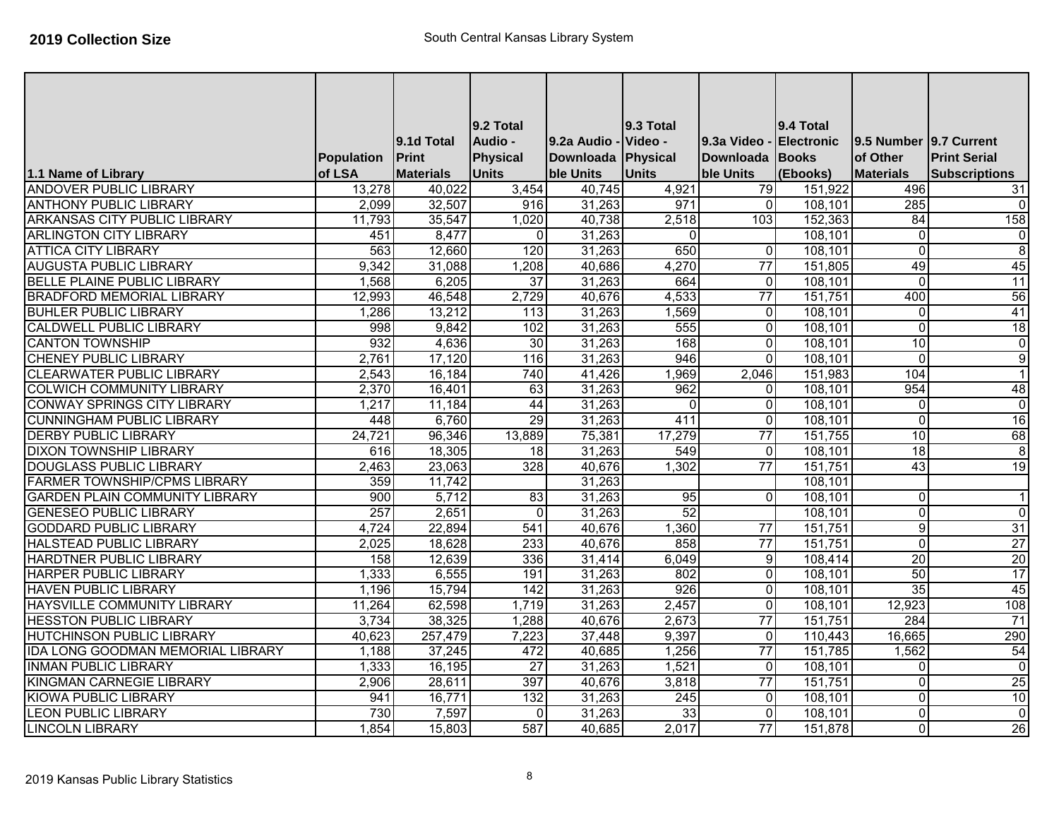|                                          |            |                  | <b>9.2 Total</b> |              | 9.3 Total    |                  | 9.4 Total  |                         |                      |
|------------------------------------------|------------|------------------|------------------|--------------|--------------|------------------|------------|-------------------------|----------------------|
|                                          |            | 9.1d Total       | Audio -          | 9.2a Audio - | Video -      | 9.3a Video -     | Electronic | 9.5 Number 9.7 Current  |                      |
|                                          | Population | <b>Print</b>     | Physical         | Downloada    | Physical     | <b>Downloada</b> | Books      | of Other                | <b>Print Serial</b>  |
| 1.1 Name of Library                      | of LSA     | <b>Materials</b> | <b>Units</b>     | ble Units    | <b>Units</b> | ble Units        | (Ebooks)   | <b>Materials</b>        | <b>Subscriptions</b> |
| <b>ANDOVER PUBLIC LIBRARY</b>            | 13,278     | 40,022           | 3,454            | 40,745       | 4,921        | 79               | 151,922    | 496                     | 31                   |
| <b>ANTHONY PUBLIC LIBRARY</b>            | 2,099      | 32,507           | 916              | 31,263       | 971          | $\overline{0}$   | 108,101    | 285                     | $\mathbf 0$          |
| ARKANSAS CITY PUBLIC LIBRARY             | 11,793     | 35,547           | 1,020            | 40,738       | 2,518        | 103              | 152,363    | $\overline{84}$         | 158                  |
| <b>ARLINGTON CITY LIBRARY</b>            | 451        | 8,477            | 0                | 31,263       | $\mathbf{0}$ |                  | 108,101    | $\mathbf 0$             | $\mathbf 0$          |
| <b>ATTICA CITY LIBRARY</b>               | 563        | 12,660           | 120              | 31,263       | 650          | $\overline{0}$   | 108,101    | $\overline{0}$          | $\overline{8}$       |
| <b>AUGUSTA PUBLIC LIBRARY</b>            | 9,342      | 31,088           | 1,208            | 40,686       | 4,270        | $\overline{77}$  | 151,805    | 49                      | 45                   |
| <b>BELLE PLAINE PUBLIC LIBRARY</b>       | 1,568      | 6,205            | 37               | 31,263       | 664          | $\overline{0}$   | 108,101    | $\mathbf 0$             | 11                   |
| <b>BRADFORD MEMORIAL LIBRARY</b>         | 12,993     | 46,548           | 2,729            | 40,676       | 4,533        | $\overline{77}$  | 151,751    | 400                     | 56                   |
| <b>BUHLER PUBLIC LIBRARY</b>             | 1,286      | 13,212           | 113              | 31,263       | 1,569        | $\overline{0}$   | 108,101    | $\mathbf 0$             | 41                   |
| <b>CALDWELL PUBLIC LIBRARY</b>           | 998        | 9,842            | 102              | 31,263       | 555          | $\Omega$         | 108,101    | $\mathbf 0$             | 18                   |
| <b>CANTON TOWNSHIP</b>                   | 932        | 4,636            | 30               | 31,263       | 168          | $\overline{0}$   | 108,101    | 10                      | $\overline{0}$       |
| <b>CHENEY PUBLIC LIBRARY</b>             | 2,761      | 17,120           | 116              | 31,263       | 946          | $\overline{0}$   | 108,101    | $\mathbf{0}$            | $\overline{9}$       |
| <b>CLEARWATER PUBLIC LIBRARY</b>         | 2,543      | 16,184           | 740              | 41,426       | 1,969        | 2,046            | 151,983    | 104                     | $\overline{1}$       |
| <b>COLWICH COMMUNITY LIBRARY</b>         | 2,370      | 16,401           | 63               | 31,263       | 962          | $\overline{0}$   | 108,101    | 954                     | 48                   |
| <b>CONWAY SPRINGS CITY LIBRARY</b>       | 1,217      | 11,184           | 44               | 31,263       | $\Omega$     | $\overline{0}$   | 108,101    | $\mathbf{0}$            | $\overline{0}$       |
| <b>CUNNINGHAM PUBLIC LIBRARY</b>         | 448        | 6,760            | 29               | 31,263       | 411          | $\overline{0}$   | 108,101    | $\overline{0}$          | 16                   |
| <b>DERBY PUBLIC LIBRARY</b>              | 24,721     | 96,346           | 13,889           | 75,381       | 17,279       | $\overline{77}$  | 151,755    | 10                      | 68                   |
| <b>DIXON TOWNSHIP LIBRARY</b>            | 616        | 18,305           | 18               | 31,263       | 549          | $\overline{0}$   | 108,101    | 18                      | $\overline{8}$       |
| <b>DOUGLASS PUBLIC LIBRARY</b>           | 2,463      | 23,063           | 328              | 40,676       | 1,302        | $\overline{77}$  | 151,751    | 43                      | 19                   |
| <b>FARMER TOWNSHIP/CPMS LIBRARY</b>      | 359        | 11,742           |                  | 31,263       |              |                  | 108,101    |                         |                      |
| <b>GARDEN PLAIN COMMUNITY LIBRARY</b>    | 900        | 5,712            | 83               | 31,263       | 95           | $\Omega$         | 108,101    | $\mathbf{0}$            | $\overline{1}$       |
| <b>GENESEO PUBLIC LIBRARY</b>            | 257        | 2,651            | $\overline{0}$   | 31,263       | 52           |                  | 108,101    | $\mathbf{0}$            | $\overline{0}$       |
| <b>GODDARD PUBLIC LIBRARY</b>            | 4,724      | 22,894           | 541              | 40,676       | 1,360        | $\overline{77}$  | 151,751    | 9                       | 31                   |
| <b>HALSTEAD PUBLIC LIBRARY</b>           | 2,025      | 18,628           | 233              | 40,676       | 858          | $\overline{77}$  | 151,751    | $\overline{\mathsf{o}}$ | $\overline{27}$      |
| <b>HARDTNER PUBLIC LIBRARY</b>           | 158        | 12,639           | 336              | 31,414       | 6,049        | 9                | 108,414    | $\overline{20}$         | 20                   |
| <b>HARPER PUBLIC LIBRARY</b>             | 1,333      | 6,555            | 191              | 31,263       | 802          | $\overline{0}$   | 108,101    | 50                      | 17                   |
| <b>HAVEN PUBLIC LIBRARY</b>              | 1,196      | 15,794           | 142              | 31,263       | 926          | $\overline{0}$   | 108,101    | 35                      | 45                   |
| HAYSVILLE COMMUNITY LIBRARY              | 11,264     | 62,598           | 1,719            | 31,263       | 2,457        | $\overline{0}$   | 108,101    | 12,923                  | 108                  |
| <b>HESSTON PUBLIC LIBRARY</b>            | 3,734      | 38,325           | 1,288            | 40,676       | 2,673        | $\overline{77}$  | 151,751    | 284                     | 71                   |
| <b>HUTCHINSON PUBLIC LIBRARY</b>         | 40,623     | 257,479          | 7,223            | 37,448       | 9,397        | $\overline{0}$   | 110,443    | 16,665                  | 290                  |
| <b>IDA LONG GOODMAN MEMORIAL LIBRARY</b> | 1,188      | 37,245           | 472              | 40,685       | 1,256        | $\overline{77}$  | 151,785    | 1,562                   | 54                   |
| <b>INMAN PUBLIC LIBRARY</b>              | 1,333      | 16,195           | $\overline{27}$  | 31,263       | 1,521        | $\overline{0}$   | 108,101    | $\mathbf 0$             | $\overline{0}$       |
| <b>KINGMAN CARNEGIE LIBRARY</b>          | 2,906      | 28,611           | 397              | 40,676       | 3,818        | $\overline{77}$  | 151,751    | $\mathbf 0$             | 25                   |
| <b>KIOWA PUBLIC LIBRARY</b>              | 941        | 16,771           | 132              | 31,263       | 245          | $\Omega$         | 108,101    | $\mathbf{0}$            | 10                   |
| <b>LEON PUBLIC LIBRARY</b>               | 730        | 7,597            | $\Omega$         | 31,263       | 33           | $\overline{0}$   | 108,101    | $\overline{0}$          | $\overline{0}$       |
| <b>LINCOLN LIBRARY</b>                   | 1,854      | 15,803           | 587              | 40,685       | 2,017        | $\overline{77}$  | 151,878    | $\Omega$                | 26                   |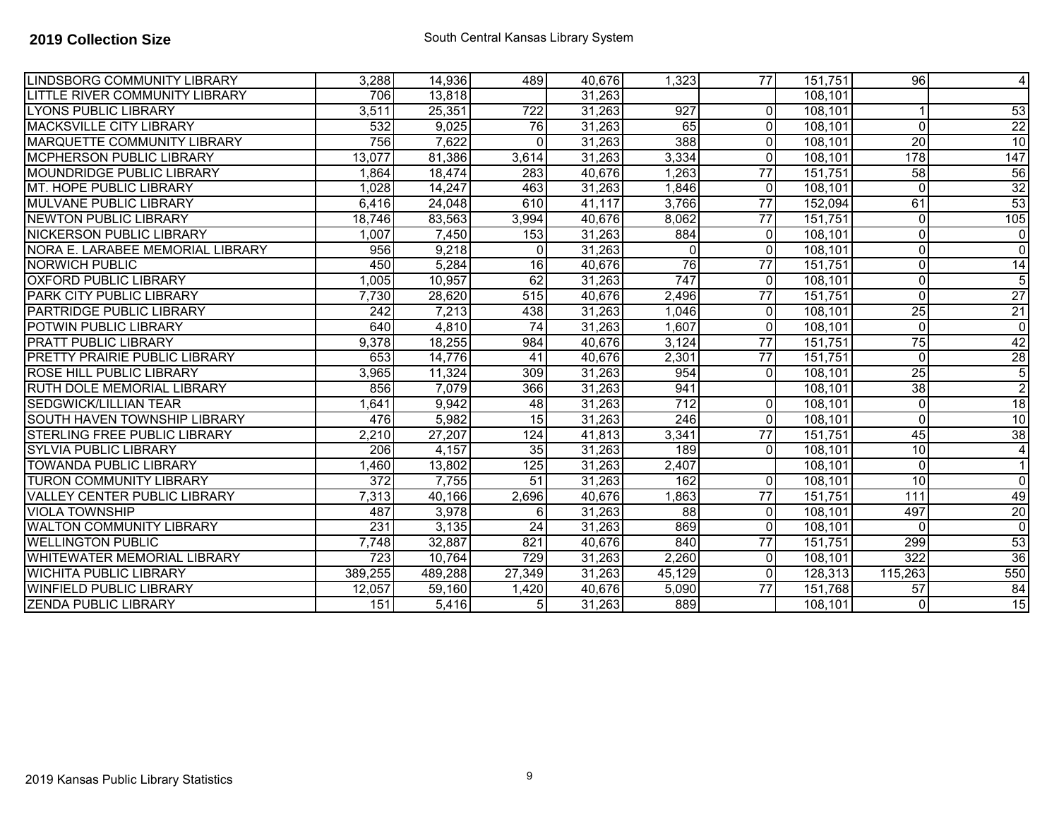| <b>LINDSBORG COMMUNITY LIBRARY</b>  | 3,288            | 14,936  | 489                 | 40,676 | 1,323            | 77              | 151,751  | 96              | 4               |
|-------------------------------------|------------------|---------|---------------------|--------|------------------|-----------------|----------|-----------------|-----------------|
| LITTLE RIVER COMMUNITY LIBRARY      | 706              | 13,818  |                     | 31,263 |                  |                 | 108,101  |                 |                 |
| <b>LYONS PUBLIC LIBRARY</b>         | 3,511            | 25,351  | $\overline{722}$    | 31,263 | 927              | $\overline{0}$  | 108,101  |                 | 53              |
| <b>MACKSVILLE CITY LIBRARY</b>      | 532              | 9,025   | 76                  | 31,263 | 65               | $\Omega$        | 108,101  | $\Omega$        | $\overline{22}$ |
| <b>IMARQUETTE COMMUNITY LIBRARY</b> | 756              | 7,622   | $\Omega$            | 31,263 | 388              | $\Omega$        | 108,101  | 20              | 10              |
| <b>MCPHERSON PUBLIC LIBRARY</b>     | 13,077           | 81,386  | 3,614               | 31,263 | 3,334            | $\Omega$        | 108,101  | 178             | 147             |
| MOUNDRIDGE PUBLIC LIBRARY           | 1.864            | 18,474  | 283                 | 40,676 | 1,263            | $\overline{77}$ | 151,751  | 58              | 56              |
| MT. HOPE PUBLIC LIBRARY             | 1,028            | 14,247  | 463                 | 31,263 | 1,846            | $\overline{0}$  | 108,101  | $\Omega$        | 32              |
| <b>IMULVANE PUBLIC LIBRARY</b>      | 6,416            | 24,048  | 610                 | 41,117 | 3,766            | 77              | 152,094  | 61              | 53              |
| <b>NEWTON PUBLIC LIBRARY</b>        | 18,746           | 83,563  | 3,994               | 40,676 | 8,062            | $\overline{77}$ | 151,751  | $\mathbf{0}$    | 105             |
| <b>NICKERSON PUBLIC LIBRARY</b>     | 1,007            | 7,450   | 153                 | 31,263 | 884              | $\Omega$        | 108,101  | $\Omega$        | $\overline{0}$  |
| NORA E. LARABEE MEMORIAL LIBRARY    | 956              | 9,218   | $\Omega$            | 31,263 | $\Omega$         | $\Omega$        | 108,101  | $\Omega$        | $\overline{0}$  |
| <b>NORWICH PUBLIC</b>               | 450              | 5,284   | 16                  | 40,676 | 76               | 77              | 151,751  | $\Omega$        | 14              |
| <b>OXFORD PUBLIC LIBRARY</b>        | 1,005            | 10,957  | 62                  | 31,263 | $\overline{747}$ | $\overline{0}$  | 108,101  | $\Omega$        | $\overline{5}$  |
| <b>PARK CITY PUBLIC LIBRARY</b>     | 7,730            | 28,620  | 515                 | 40,676 | 2,496            | $\overline{77}$ | 151,751  | $\Omega$        | $\overline{27}$ |
| <b>PARTRIDGE PUBLIC LIBRARY</b>     | $\overline{242}$ | 7,213   | 438                 | 31,263 | 1,046            | $\overline{0}$  | 108,101  | 25              | 21              |
| POTWIN PUBLIC LIBRARY               | 640              | 4,810   | 74                  | 31,263 | 1,607            | $\Omega$        | 108,101  | $\Omega$        | $\overline{0}$  |
| <b>PRATT PUBLIC LIBRARY</b>         | 9,378            | 18,255  | 984                 | 40,676 | 3,124            | 77              | 151,751  | 75              | 42              |
| PRETTY PRAIRIE PUBLIC LIBRARY       | 653              | 14,776  | 41                  | 40,676 | 2,301            | 77              | 151,751  | $\Omega$        | 28              |
| <b>ROSE HILL PUBLIC LIBRARY</b>     | 3,965            | 11,324  | 309                 | 31,263 | 954              | $\Omega$        | 108,101  | $\overline{25}$ | $\overline{5}$  |
| <b>RUTH DOLE MEMORIAL LIBRARY</b>   | 856              | 7,079   | 366                 | 31,263 | 941              |                 | 108,101  | 38              | $\overline{2}$  |
| <b>SEDGWICK/LILLIAN TEAR</b>        | 1,641            | 9,942   | 48                  | 31,263 | $\overline{712}$ | $\Omega$        | 108, 101 | $\Omega$        | 18              |
| SOUTH HAVEN TOWNSHIP LIBRARY        | 476              | 5,982   | 15                  | 31,263 | 246              | $\overline{0}$  | 108,101  | $\mathbf{0}$    | 10              |
| STERLING FREE PUBLIC LIBRARY        | 2,210            | 27,207  | 124                 | 41,813 | 3,341            | $\overline{77}$ | 151,751  | 45              | 38              |
| <b>SYLVIA PUBLIC LIBRARY</b>        | 206              | 4,157   | 35                  | 31,263 | 189              | $\Omega$        | 108,101  | 10              | $\overline{4}$  |
| <b>TOWANDA PUBLIC LIBRARY</b>       | 1,460            | 13,802  | 125                 | 31,263 | 2,407            |                 | 108,101  | $\Omega$        | $\mathbf 1$     |
| <b>TURON COMMUNITY LIBRARY</b>      | 372              | 7,755   | 51                  | 31,263 | 162              | $\Omega$        | 108,101  | 10              | 0               |
| <b>VALLEY CENTER PUBLIC LIBRARY</b> | 7,313            | 40,166  | 2,696               | 40,676 | 1,863            | 77              | 151,751  | 111             | 49              |
| <b>VIOLA TOWNSHIP</b>               | 487              | 3,978   | $6 \mid$            | 31,263 | $\overline{88}$  | $\overline{0}$  | 108,101  | 497             | 20              |
| <b>WALTON COMMUNITY LIBRARY</b>     | 231              | 3,135   | $\overline{24}$     | 31,263 | 869              | $\Omega$        | 108,101  | $\Omega$        | $\overline{0}$  |
| <b>WELLINGTON PUBLIC</b>            | 7,748            | 32,887  | 821                 | 40,676 | 840              | 77              | 151,751  | 299             | 53              |
| <b>WHITEWATER MEMORIAL LIBRARY</b>  | 723              | 10,764  | 729                 | 31,263 | 2,260            | $\Omega$        | 108,101  | 322             | 36              |
| <b>WICHITA PUBLIC LIBRARY</b>       | 389,255          | 489,288 | $\overline{27,349}$ | 31,263 | 45,129           | $\Omega$        | 128,313  | 115,263         | 550             |
| <b>WINFIELD PUBLIC LIBRARY</b>      | 12,057           | 59,160  | 1,420               | 40,676 | 5,090            | $\overline{77}$ | 151,768  | $\overline{57}$ | 84              |
| <b>ZENDA PUBLIC LIBRARY</b>         | 151              | 5,416   | 5 <sub>l</sub>      | 31,263 | 889              |                 | 108,101  | $\Omega$        | 15              |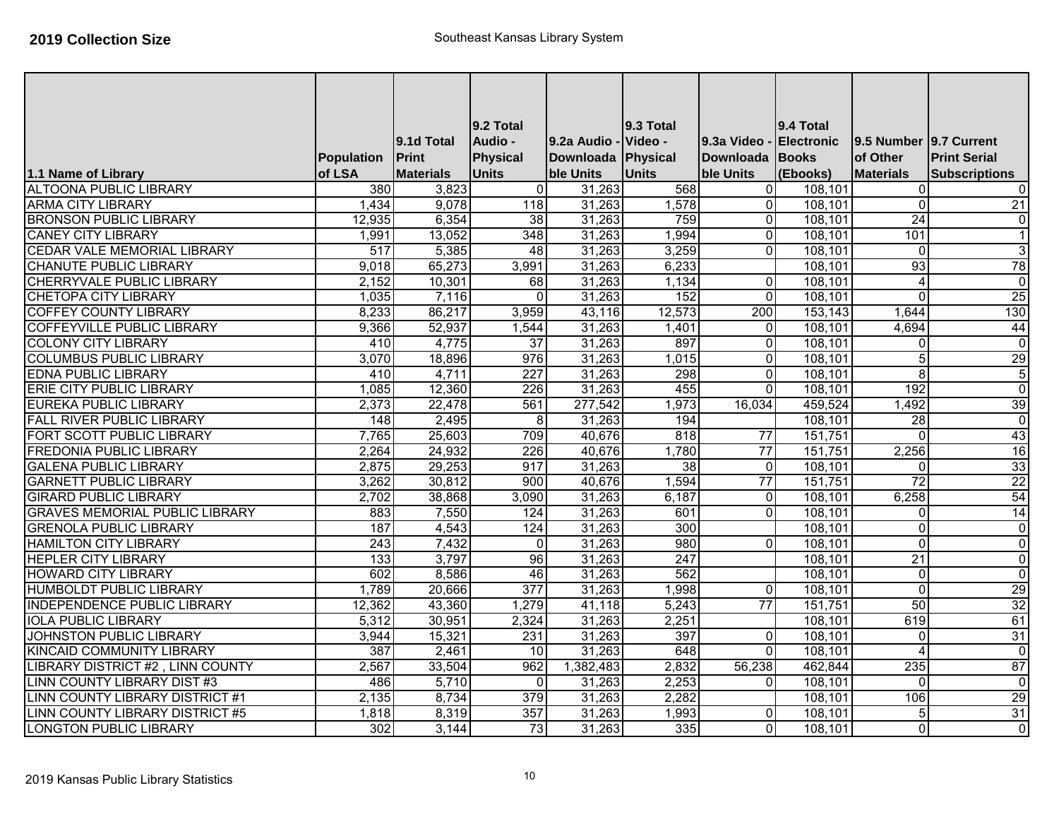|                                        |                  | 9.1d Total       | <b>9.2 Total</b><br>Audio - | 9.2a Audio - Video - | 9.3 Total       | 9.3a Video      | 9.4 Total<br><b>Electronic</b> | 9.5 Number 9.7 Current |                         |
|----------------------------------------|------------------|------------------|-----------------------------|----------------------|-----------------|-----------------|--------------------------------|------------------------|-------------------------|
|                                        | Population       | <b>Print</b>     | Physical                    | Downloada Physical   |                 | Downloada Books |                                | of Other               | <b>Print Serial</b>     |
| 1.1 Name of Library                    | of LSA           | <b>Materials</b> | <b>Units</b>                | ble Units            | <b>Units</b>    | ble Units       | (Ebooks)                       | <b>Materials</b>       | <b>Subscriptions</b>    |
| <b>ALTOONA PUBLIC LIBRARY</b>          | 380              | 3,823            | $\Omega$                    | 31,263               | 568             | $\overline{0}$  | 108,101                        | $\Omega$               | 0                       |
| <b>ARMA CITY LIBRARY</b>               | 1,434            | 9,078            | 118                         | 31,263               | 1,578           | $\overline{0}$  | 108,101                        | $\mathbf{0}$           | 21                      |
| <b>BRONSON PUBLIC LIBRARY</b>          | 12,935           | 6,354            | $\overline{38}$             | 31,263               | 759             | $\Omega$        | 108,101                        | $\overline{24}$        | $\overline{0}$          |
| <b>CANEY CITY LIBRARY</b>              | 1,991            | 13,052           | 348                         | 31,263               | 1,994           | $\overline{0}$  | 108,101                        | 101                    | $\vert$ 1               |
| CEDAR VALE MEMORIAL LIBRARY            | 517              | 5,385            | 48                          | 31,263               | 3,259           | $\overline{0}$  | 108,101                        | $\mathbf{0}$           | 3                       |
| <b>CHANUTE PUBLIC LIBRARY</b>          | 9,018            | 65,273           | 3,991                       | 31,263               | 6,233           |                 | 108,101                        | 93                     | 78                      |
| <b>CHERRYVALE PUBLIC LIBRARY</b>       | 2,152            | 10,301           | 68                          | 31,263               | 1,134           | $\Omega$        | 108,101                        | $\overline{4}$         | $\overline{\mathbf{c}}$ |
| <b>CHETOPA CITY LIBRARY</b>            | 1,035            | 7,116            | $\Omega$                    | 31,263               | 152             | $\Omega$        | 108,101                        | $\Omega$               | 25                      |
| <b>COFFEY COUNTY LIBRARY</b>           | 8,233            | 86,217           | 3,959                       | 43,116               | 12,573          | 200             | 153,143                        | 1,644                  | 130                     |
| COFFEYVILLE PUBLIC LIBRARY             | 9,366            | 52,937           | 1,544                       | 31,263               | 1,401           | $\Omega$        | 108,101                        | 4,694                  | 44                      |
| <b>COLONY CITY LIBRARY</b>             | 410              | 4,775            | $\overline{37}$             | 31,263               | 897             | $\overline{0}$  | 108,101                        | $\Omega$               | $\overline{0}$          |
| <b>COLUMBUS PUBLIC LIBRARY</b>         | 3,070            | 18,896           | 976                         | 31,263               | 1,015           | $\Omega$        | 108,101                        | 5                      | 29                      |
| <b>EDNA PUBLIC LIBRARY</b>             | 410              | 4,711            | 227                         | 31,263               | 298             | $\overline{0}$  | 108,101                        | 8                      | $\overline{5}$          |
| <b>ERIE CITY PUBLIC LIBRARY</b>        | 1,085            | 12,360           | $\overline{226}$            | 31,263               | 455             | $\Omega$        | 108,101                        | 192                    | $\overline{\mathbf{0}}$ |
| <b>EUREKA PUBLIC LIBRARY</b>           | 2,373            | 22,478           | 561                         | 277,542              | 1,973           | 16,034          | 459,524                        | 1,492                  | 39                      |
| <b>FALL RIVER PUBLIC LIBRARY</b>       | 148              | 2,495            | 8                           | 31,263               | 194             |                 | 108,101                        | $\overline{28}$        | $\overline{0}$          |
| FORT SCOTT PUBLIC LIBRARY              | 7,765            | 25,603           | 709                         | 40,676               | 818             | $\overline{77}$ | 151,751                        | $\Omega$               | 43                      |
| <b>FREDONIA PUBLIC LIBRARY</b>         | 2,264            | 24,932           | 226                         | 40,676               | 1,780           | 77              | 151,751                        | 2,256                  | 16                      |
| <b>GALENA PUBLIC LIBRARY</b>           | 2,875            | 29,253           | 917                         | 31,263               | $\overline{38}$ | $\overline{0}$  | 108,101                        | $\Omega$               | 33                      |
| <b>GARNETT PUBLIC LIBRARY</b>          | 3,262            | 30,812           | 900                         | 40,676               | 1,594           | $\overline{77}$ | 151,751                        | $\overline{72}$        | $\overline{22}$         |
| <b>GIRARD PUBLIC LIBRARY</b>           | 2,702            | 38,868           | 3,090                       | 31,263               | 6,187           | $\Omega$        | 108,101                        | 6,258                  | 54                      |
| <b>GRAVES MEMORIAL PUBLIC LIBRARY</b>  | 883              | 7,550            | 124                         | 31,263               | 601             | $\overline{0}$  | 108,101                        | $\Omega$               | 14                      |
| <b>GRENOLA PUBLIC LIBRARY</b>          | 187              | 4,543            | 124                         | 31,263               | 300             |                 | 108,101                        | $\Omega$               | $\overline{\mathsf{c}}$ |
| <b>HAMILTON CITY LIBRARY</b>           | 243              | 7,432            | $\Omega$                    | 31,263               | 980             | $\Omega$        | 108,101                        | $\mathbf{0}$           | $\overline{0}$          |
| <b>HEPLER CITY LIBRARY</b>             | $\overline{133}$ | 3,797            | $\overline{96}$             | 31,263               | 247             |                 | 108,101                        | $\overline{21}$        | $\overline{0}$          |
| <b>HOWARD CITY LIBRARY</b>             | 602              | 8,586            | 46                          | 31,263               | 562             |                 | 108,101                        | $\Omega$               | $\overline{0}$          |
| <b>HUMBOLDT PUBLIC LIBRARY</b>         | 1,789            | 20,666           | 377                         | 31,263               | 1,998           | $\overline{0}$  | 108,101                        | $\Omega$               | 29                      |
| <b>INDEPENDENCE PUBLIC LIBRARY</b>     | 12,362           | 43,360           | 1,279                       | 41,118               | 5,243           | $\overline{77}$ | 151,751                        | 50                     | 32                      |
| <b>IOLA PUBLIC LIBRARY</b>             | 5,312            | 30,951           | 2,324                       | 31,263               | 2,251           |                 | 108,101                        | 619                    | 61                      |
| <b>JOHNSTON PUBLIC LIBRARY</b>         | 3,944            | 15,321           | 231                         | 31,263               | 397             | $\Omega$        | 108,101                        | $\mathbf{0}$           | 31                      |
| <b>KINCAID COMMUNITY LIBRARY</b>       | 387              | 2,461            | 10                          | 31,263               | 648             | $\Omega$        | 108,101                        | $\overline{A}$         | $\overline{\mathbf{c}}$ |
| LIBRARY DISTRICT #2, LINN COUNTY       | 2,567            | 33,504           | 962                         | 1,382,483            | 2,832           | 56,238          | 462,844                        | 235                    | 87                      |
| <b>LINN COUNTY LIBRARY DIST #3</b>     | 486              | 5,710            | $\Omega$                    | 31,263               | 2,253           | $\Omega$        | 108,101                        | $\Omega$               | $\overline{\mathbf{c}}$ |
| <b>LINN COUNTY LIBRARY DISTRICT #1</b> | 2,135            | 8,734            | 379                         | 31,263               | 2,282           |                 | 108,101                        | 106                    | 29                      |
| <b>LINN COUNTY LIBRARY DISTRICT #5</b> | 1,818            | 8,319            | 357                         | 31,263               | 1,993           | 0               | 108,101                        | 5                      | 31                      |
| <b>LONGTON PUBLIC LIBRARY</b>          | $\overline{302}$ | 3,144            | 73                          | 31,263               | 335             | $\overline{0}$  | 108,101                        | $\Omega$               | $\overline{0}$          |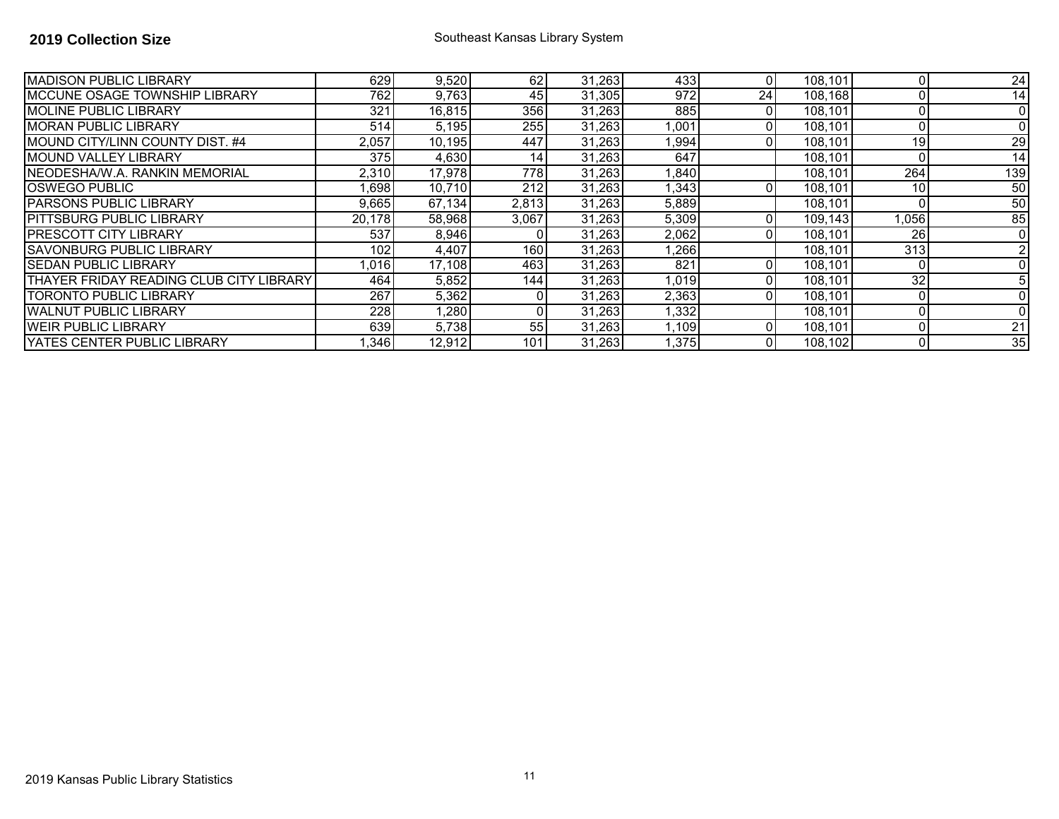| <b>MADISON PUBLIC LIBRARY</b>           | 629    | 9,520  | 62               | 31,263 | 433   | ΩI | 108,101 |       | $\overline{24}$ |
|-----------------------------------------|--------|--------|------------------|--------|-------|----|---------|-------|-----------------|
| <b>MCCUNE OSAGE TOWNSHIP LIBRARY</b>    | 762    | 9,763  | 45               | 31,305 | 972   | 24 | 108,168 |       | 14              |
| <b>IMOLINE PUBLIC LIBRARY</b>           | 321    | 16,815 | 356              | 31,263 | 885   | 0  | 108,101 |       | $\Omega$        |
| <b>MORAN PUBLIC LIBRARY</b>             | 514    | 5,195  | 255 <sup>I</sup> | 31,263 | .001  |    | 108,101 |       |                 |
| MOUND CITY/LINN COUNTY DIST. #4         | 2,057  | 10.195 | 447              | 31,263 | ,994  |    | 108,101 | 19    | $\overline{29}$ |
| <b>MOUND VALLEY LIBRARY</b>             | 375    | 4,630  | 14 <sub>1</sub>  | 31,263 | 647   |    | 108,101 |       | 14              |
| <b>INEODESHA/W.A. RANKIN MEMORIAL</b>   | 2,310  | 17,978 | 778I             | 31,263 | ,840  |    | 108,101 | 264   | 139             |
| <b>IOSWEGO PUBLIC</b>                   | ,698   | 10,710 | 212              | 31,263 | ,343  |    | 108,101 | 10    | 50              |
| <b>PARSONS PUBLIC LIBRARY</b>           | 9,665  | 67,134 | 2,813            | 31,263 | 5,889 |    | 108.101 |       | 50              |
| <b>IPITTSBURG PUBLIC LIBRARY</b>        | 20,178 | 58,968 | 3,067            | 31,263 | 5,309 |    | 109,143 | 1,056 | 85              |
| IPRESCOTT CITY LIBRARY                  | 537    | 8,946  | 01               | 31,263 | 2,062 | ΩI | 108,101 | 26    | $\Omega$        |
| <b>SAVONBURG PUBLIC LIBRARY</b>         | 102    | 4,407  | 160I             | 31,263 | ,266  |    | 108,101 | 313   |                 |
| <b>ISEDAN PUBLIC LIBRARY</b>            | 1,016  | 17,108 | 463              | 31,263 | 821   | ΩI | 108,101 |       |                 |
| THAYER FRIDAY READING CLUB CITY LIBRARY | 464    | 5,852  | 1441             | 31,263 | 1,019 | ΩI | 108,101 | 32    |                 |
| <b>TORONTO PUBLIC LIBRARY</b>           | 267    | 5,362  | 01               | 31,263 | 2,363 | Οl | 108,101 |       |                 |
| <b>WALNUT PUBLIC LIBRARY</b>            | 228    | 1,280  | 01               | 31,263 | ,332  |    | 108,101 |       |                 |
| <b>IWEIR PUBLIC LIBRARY</b>             | 639    | 5,738  | 55               | 31,263 | ,109  | 01 | 108,101 |       | 21              |
| IYATES CENTER PUBLIC LIBRARY            | 1,346  | 12,912 | 101              | 31,263 | ,375  | ΩI | 108,102 |       | 35              |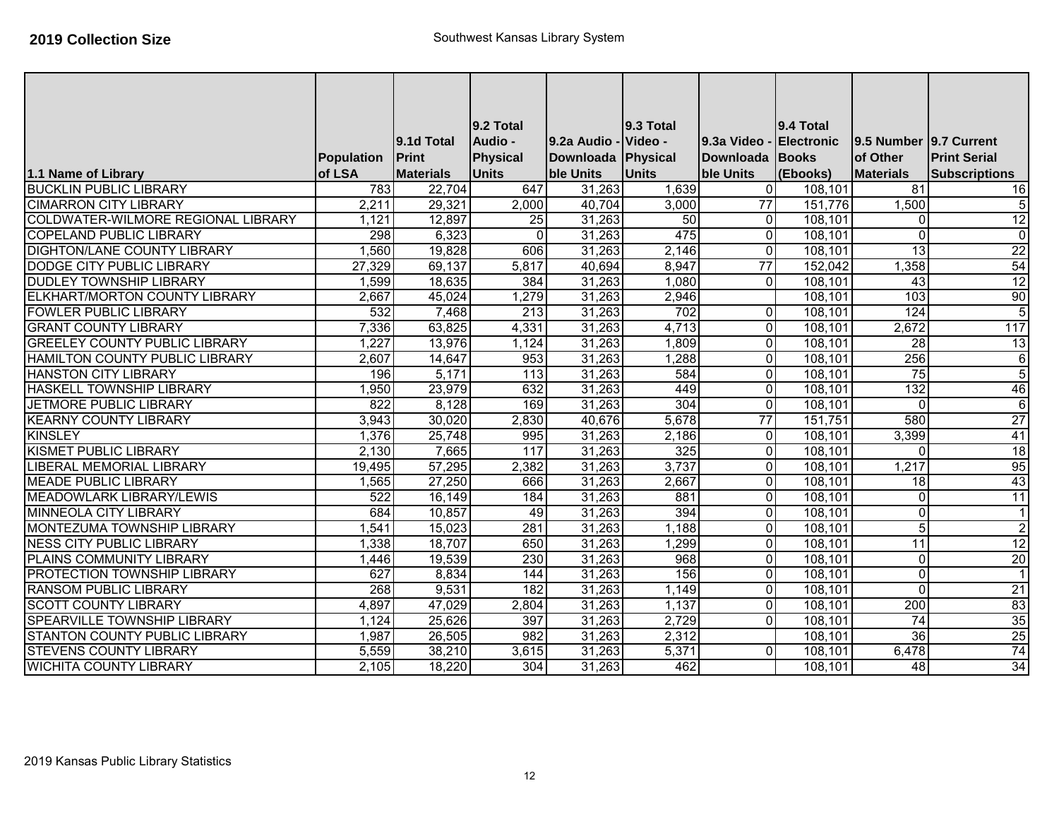|                                      |                      |                            | 9.2 Total           |                                     | <b>9.3 Total</b> |                                | 9.4 Total         |                                    |                      |
|--------------------------------------|----------------------|----------------------------|---------------------|-------------------------------------|------------------|--------------------------------|-------------------|------------------------------------|----------------------|
|                                      |                      | 9.1d Total<br><b>Print</b> | Audio -<br>Physical | l9.2a Audio -<br>Downloada Physical | Video -          | 19.3a Video<br>Downloada Books | <b>Electronic</b> | 9.5 Number 9.7 Current<br>of Other | <b>Print Serial</b>  |
| 1.1 Name of Library                  | Population<br>of LSA | <b>Materials</b>           | <b>Units</b>        | <b>ble Units</b>                    | <b>Units</b>     | ble Units                      | (Ebooks)          | <b>Materials</b>                   | <b>Subscriptions</b> |
| <b>BUCKLIN PUBLIC LIBRARY</b>        | 783                  | 22,704                     | 647                 | 31,263                              | 1,639            | $\overline{0}$                 | 108,101           | $\overline{81}$                    | 16                   |
| <b>CIMARRON CITY LIBRARY</b>         | 2,211                | 29,321                     | 2,000               | 40,704                              | 3,000            | $\overline{77}$                | 151,776           | 1,500                              | 5 <sub>l</sub>       |
| COLDWATER-WILMORE REGIONAL LIBRARY   | 1,121                | 12,897                     | 25                  | 31,263                              | 50               | $\Omega$                       | 108,101           | $\Omega$                           | 12                   |
| <b>COPELAND PUBLIC LIBRARY</b>       | 298                  | 6,323                      | $\Omega$            | 31,263                              | 475              | $\overline{0}$                 | 108,101           | $\Omega$                           | $\overline{0}$       |
| <b>DIGHTON/LANE COUNTY LIBRARY</b>   | 1,560                | 19,828                     | 606                 | 31,263                              | 2,146            | $\overline{0}$                 | 108,101           | 13                                 | $\overline{22}$      |
| DODGE CITY PUBLIC LIBRARY            | 27,329               | 69,137                     | 5,817               | 40,694                              | 8,947            | $\overline{77}$                | 152,042           | 1,358                              | 54                   |
| <b>DUDLEY TOWNSHIP LIBRARY</b>       | 1,599                | 18,635                     | 384                 | 31,263                              | 1,080            | $\Omega$                       | 108,101           | $\overline{43}$                    | 12                   |
| ELKHART/MORTON COUNTY LIBRARY        | 2,667                | 45,024                     | 1,279               | 31,263                              | 2,946            |                                | 108,101           | 103                                | 90                   |
| <b>FOWLER PUBLIC LIBRARY</b>         | 532                  | 7,468                      | $\overline{213}$    | 31,263                              | 702              | $\Omega$                       | 108,101           | 124                                | $\overline{5}$       |
| <b>GRANT COUNTY LIBRARY</b>          | 7,336                | 63,825                     | 4,331               | 31,263                              | 4,713            | $\overline{0}$                 | 108,101           | 2,672                              | 117                  |
| <b>GREELEY COUNTY PUBLIC LIBRARY</b> | 1,227                | 13,976                     | 1,124               | 31,263                              | 1,809            | $\overline{0}$                 | 108,101           | 28                                 | 13                   |
| HAMILTON COUNTY PUBLIC LIBRARY       | 2,607                | 14,647                     | 953                 | 31,263                              | 1,288            | $\Omega$                       | 108,101           | 256                                | $6 \mid$             |
| <b>HANSTON CITY LIBRARY</b>          | 196                  | 5,171                      | $\overline{113}$    | 31,263                              | 584              | $\overline{0}$                 | 108,101           | 75                                 | $\overline{5}$       |
| HASKELL TOWNSHIP LIBRARY             | 1,950                | 23,979                     | 632                 | 31,263                              | 449              | $\overline{0}$                 | 108,101           | 132                                | 46                   |
| <b>JETMORE PUBLIC LIBRARY</b>        | 822                  | 8,128                      | 169                 | 31,263                              | 304              | $\overline{0}$                 | 108,101           | $\Omega$                           | $\overline{6}$       |
| <b>KEARNY COUNTY LIBRARY</b>         | 3,943                | 30,020                     | 2,830               | 40,676                              | 5,678            | 77                             | 151,751           | 580                                | 27                   |
| <b>KINSLEY</b>                       | 1,376                | 25,748                     | 995                 | 31,263                              | 2,186            | $\overline{0}$                 | 108,101           | 3,399                              | 41                   |
| <b>KISMET PUBLIC LIBRARY</b>         | 2,130                | 7,665                      | 117                 | 31,263                              | 325              | $\overline{0}$                 | 108,101           | $\Omega$                           | 18                   |
| LIBERAL MEMORIAL LIBRARY             | 19,495               | 57,295                     | 2,382               | 31,263                              | 3,737            | $\overline{0}$                 | 108,101           | 1,217                              | 95                   |
| <b>MEADE PUBLIC LIBRARY</b>          | 1,565                | 27,250                     | 666                 | 31,263                              | 2,667            | $\Omega$                       | 108,101           | $\overline{18}$                    | 43                   |
| <b>MEADOWLARK LIBRARY/LEWIS</b>      | 522                  | 16,149                     | 184                 | 31,263                              | 881              | $\overline{0}$                 | 108,101           | $\Omega$                           | 11                   |
| <b>MINNEOLA CITY LIBRARY</b>         | 684                  | 10,857                     | 49                  | 31,263                              | 394              | $\overline{0}$                 | 108,101           | $\Omega$                           | $\vert$ 1            |
| MONTEZUMA TOWNSHIP LIBRARY           | 1,541                | 15,023                     | 281                 | 31,263                              | 1,188            | $\Omega$                       | 108,101           | 5                                  | $\overline{2}$       |
| <b>NESS CITY PUBLIC LIBRARY</b>      | 1,338                | 18,707                     | 650                 | 31,263                              | 1,299            | $\overline{0}$                 | 108,101           | $\overline{11}$                    | 12                   |
| PLAINS COMMUNITY LIBRARY             | 1,446                | 19,539                     | 230                 | 31,263                              | 968              | $\Omega$                       | 108,101           | $\Omega$                           | 20                   |
| PROTECTION TOWNSHIP LIBRARY          | 627                  | 8,834                      | 144                 | 31,263                              | 156              | $\overline{0}$                 | 108,101           | $\Omega$                           | $\vert$ 1            |
| <b>RANSOM PUBLIC LIBRARY</b>         | 268                  | 9,531                      | $\overline{182}$    | 31,263                              | 1,149            | $\Omega$                       | 108,101           | $\Omega$                           | 21                   |
| <b>SCOTT COUNTY LIBRARY</b>          | 4,897                | 47,029                     | 2,804               | 31,263                              | 1,137            | $\Omega$                       | 108,101           | 200                                | 83                   |
| SPEARVILLE TOWNSHIP LIBRARY          | 1,124                | 25,626                     | 397                 | 31,263                              | 2,729            | $\Omega$                       | 108,101           | $\overline{74}$                    | 35                   |
| STANTON COUNTY PUBLIC LIBRARY        | 1,987                | 26,505                     | 982                 | 31,263                              | 2,312            |                                | 108,101           | $\overline{36}$                    | 25                   |
| <b>STEVENS COUNTY LIBRARY</b>        | 5,559                | 38,210                     | 3,615               | 31,263                              | 5,371            | $\Omega$                       | 108,101           | 6,478                              | 74                   |
| <b>WICHITA COUNTY LIBRARY</b>        | 2,105                | 18,220                     | 304                 | 31,263                              | 462              |                                | 108,101           | $\overline{48}$                    | 34                   |